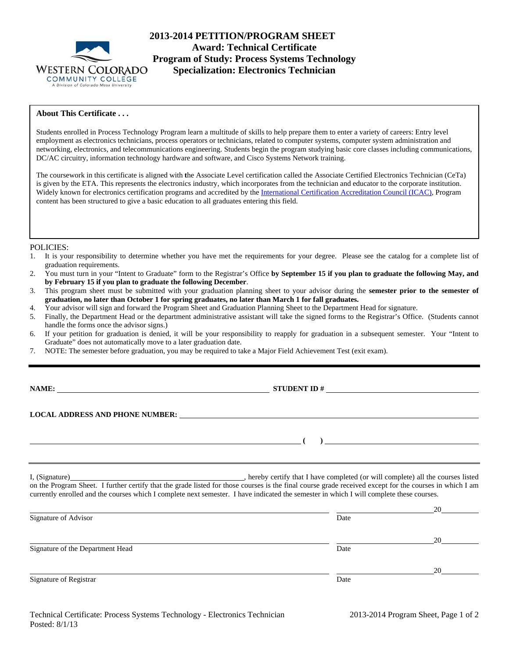

# **2013-2014 PETITION/PROGRAM SHEET Award: Technical Certificate Program of Study: Process Systems Technology Specialization: Electronics Technician**

# **About This Certificate . . .**

Students enrolled in Process Technology Program learn a multitude of skills to help prepare them to enter a variety of careers: Entry level employment as electronics technicians, process operators or technicians, related to computer systems, computer system administration and networking, electronics, and telecommunications engineering. Students begin the program studying basic core classes including communications, DC/AC circuitry, information technology hardware and software, and Cisco Systems Network training.

The coursework in this certificate is aligned with **t**he Associate Level certification called the Associate Certified Electronics Technician (CeTa) is given by the ETA. This represents the electronics industry, which incorporates from the technician and educator to the corporate institution. Widely known for electronics certification programs and accredited by the International Certification Accreditation Council (ICAC), Program content has been structured to give a basic education to all graduates entering this field.

#### POLICIES:

- 1. It is your responsibility to determine whether you have met the requirements for your degree. Please see the catalog for a complete list of graduation requirements.
- 2. You must turn in your "Intent to Graduate" form to the Registrar's Office **by September 15 if you plan to graduate the following May, and by February 15 if you plan to graduate the following December**.
- 3. This program sheet must be submitted with your graduation planning sheet to your advisor during the **semester prior to the semester of graduation, no later than October 1 for spring graduates, no later than March 1 for fall graduates.**
- 4. Your advisor will sign and forward the Program Sheet and Graduation Planning Sheet to the Department Head for signature.
- 5. Finally, the Department Head or the department administrative assistant will take the signed forms to the Registrar's Office. (Students cannot handle the forms once the advisor signs.)
- 6. If your petition for graduation is denied, it will be your responsibility to reapply for graduation in a subsequent semester. Your "Intent to Graduate" does not automatically move to a later graduation date.
- 7. NOTE: The semester before graduation, you may be required to take a Major Field Achievement Test (exit exam).

**NAME: STUDENT ID #**

 **( )** 

## **LOCAL ADDRESS AND PHONE NUMBER:**

I, (Signature) , hereby certify that I have completed (or will complete) all the courses listed on the Program Sheet. I further certify that the grade listed for those courses is the final course grade received except for the courses in which I am currently enrolled and the courses which I complete next semester. I have indicated the semester in which I will complete these courses.

| Signature of Advisor             | Date | 20 |
|----------------------------------|------|----|
| Signature of the Department Head | Date | 20 |
| Signature of Registrar           | Date | 20 |